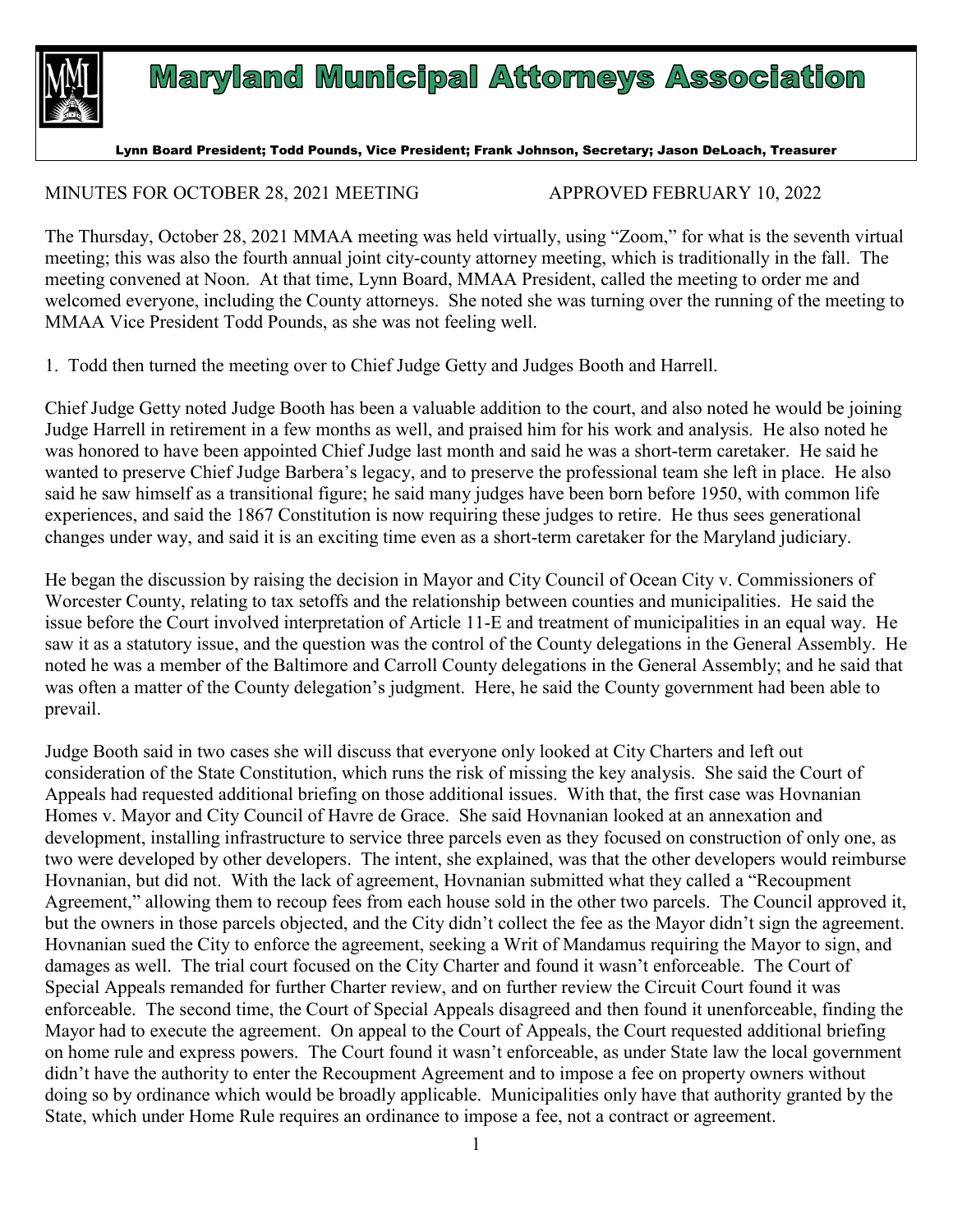

## **Maryland Municipal Attorneys Association**

Lynn Board President; Todd Pounds, Vice President; Frank Johnson, Secretary; Jason DeLoach, Treasurer

## MINUTES FOR OCTOBER 28, 2021 MEETING APPROVED FEBRUARY 10, 2022

The Thursday, October 28, 2021 MMAA meeting was held virtually, using "Zoom," for what is the seventh virtual meeting; this was also the fourth annual joint city-county attorney meeting, which is traditionally in the fall. The meeting convened at Noon. At that time, Lynn Board, MMAA President, called the meeting to order me and welcomed everyone, including the County attorneys. She noted she was turning over the running of the meeting to MMAA Vice President Todd Pounds, as she was not feeling well.

1. Todd then turned the meeting over to Chief Judge Getty and Judges Booth and Harrell.

Chief Judge Getty noted Judge Booth has been a valuable addition to the court, and also noted he would be joining Judge Harrell in retirement in a few months as well, and praised him for his work and analysis. He also noted he was honored to have been appointed Chief Judge last month and said he was a short-term caretaker. He said he wanted to preserve Chief Judge Barbera's legacy, and to preserve the professional team she left in place. He also said he saw himself as a transitional figure; he said many judges have been born before 1950, with common life experiences, and said the 1867 Constitution is now requiring these judges to retire. He thus sees generational changes under way, and said it is an exciting time even as a short-term caretaker for the Maryland judiciary.

He began the discussion by raising the decision in Mayor and City Council of Ocean City v. Commissioners of Worcester County, relating to tax setoffs and the relationship between counties and municipalities. He said the issue before the Court involved interpretation of Article 11-E and treatment of municipalities in an equal way. He saw it as a statutory issue, and the question was the control of the County delegations in the General Assembly. He noted he was a member of the Baltimore and Carroll County delegations in the General Assembly; and he said that was often a matter of the County delegation's judgment. Here, he said the County government had been able to prevail.

Judge Booth said in two cases she will discuss that everyone only looked at City Charters and left out consideration of the State Constitution, which runs the risk of missing the key analysis. She said the Court of Appeals had requested additional briefing on those additional issues. With that, the first case was Hovnanian Homes v. Mayor and City Council of Havre de Grace. She said Hovnanian looked at an annexation and development, installing infrastructure to service three parcels even as they focused on construction of only one, as two were developed by other developers. The intent, she explained, was that the other developers would reimburse Hovnanian, but did not. With the lack of agreement, Hovnanian submitted what they called a "Recoupment Agreement," allowing them to recoup fees from each house sold in the other two parcels. The Council approved it, but the owners in those parcels objected, and the City didn't collect the fee as the Mayor didn't sign the agreement. Hovnanian sued the City to enforce the agreement, seeking a Writ of Mandamus requiring the Mayor to sign, and damages as well. The trial court focused on the City Charter and found it wasn't enforceable. The Court of Special Appeals remanded for further Charter review, and on further review the Circuit Court found it was enforceable. The second time, the Court of Special Appeals disagreed and then found it unenforceable, finding the Mayor had to execute the agreement. On appeal to the Court of Appeals, the Court requested additional briefing on home rule and express powers. The Court found it wasn't enforceable, as under State law the local government didn't have the authority to enter the Recoupment Agreement and to impose a fee on property owners without doing so by ordinance which would be broadly applicable. Municipalities only have that authority granted by the State, which under Home Rule requires an ordinance to impose a fee, not a contract or agreement.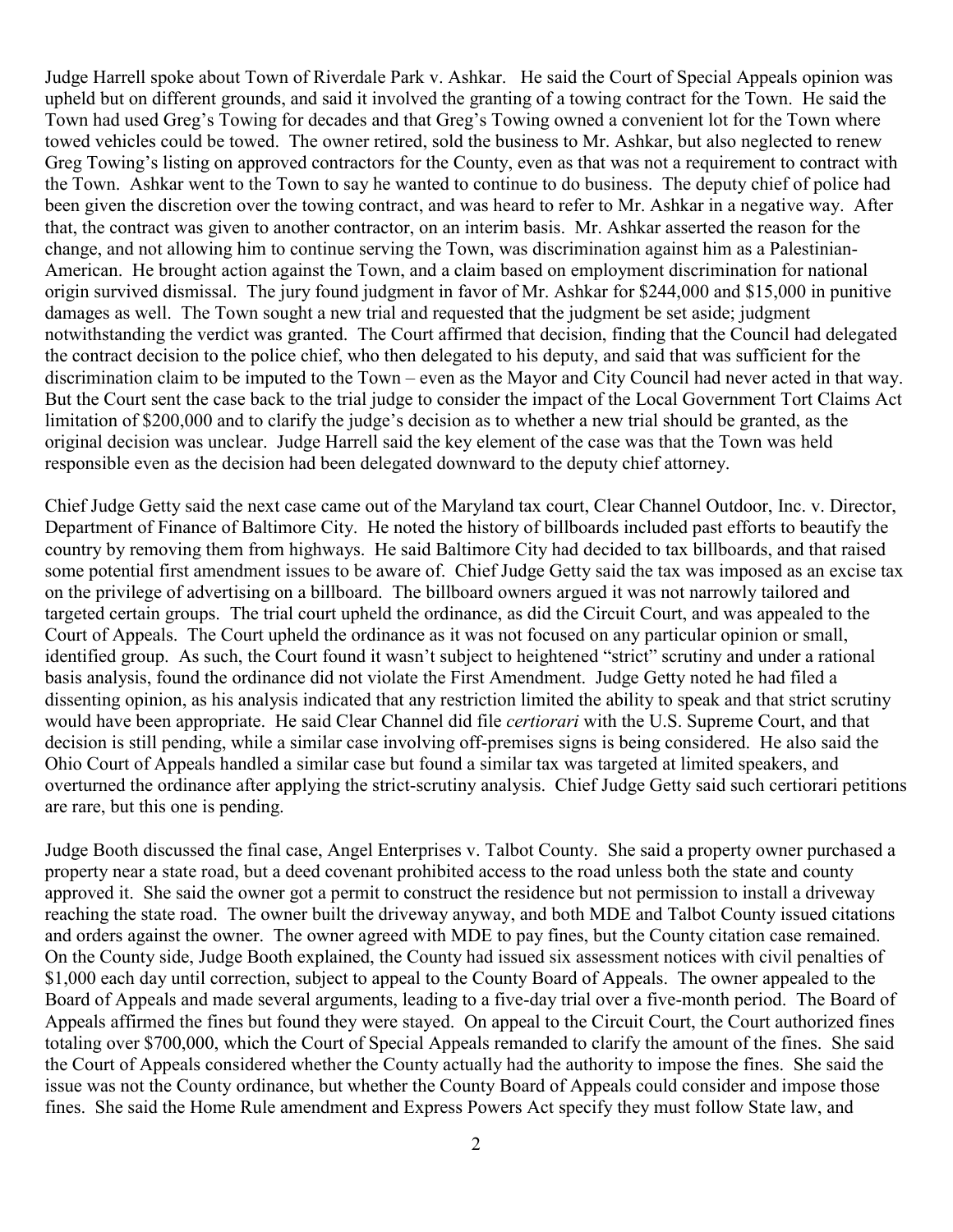Judge Harrell spoke about Town of Riverdale Park v. Ashkar. He said the Court of Special Appeals opinion was upheld but on different grounds, and said it involved the granting of a towing contract for the Town. He said the Town had used Greg's Towing for decades and that Greg's Towing owned a convenient lot for the Town where towed vehicles could be towed. The owner retired, sold the business to Mr. Ashkar, but also neglected to renew Greg Towing's listing on approved contractors for the County, even as that was not a requirement to contract with the Town. Ashkar went to the Town to say he wanted to continue to do business. The deputy chief of police had been given the discretion over the towing contract, and was heard to refer to Mr. Ashkar in a negative way. After that, the contract was given to another contractor, on an interim basis. Mr. Ashkar asserted the reason for the change, and not allowing him to continue serving the Town, was discrimination against him as a Palestinian-American. He brought action against the Town, and a claim based on employment discrimination for national origin survived dismissal. The jury found judgment in favor of Mr. Ashkar for \$244,000 and \$15,000 in punitive damages as well. The Town sought a new trial and requested that the judgment be set aside; judgment notwithstanding the verdict was granted. The Court affirmed that decision, finding that the Council had delegated the contract decision to the police chief, who then delegated to his deputy, and said that was sufficient for the discrimination claim to be imputed to the Town – even as the Mayor and City Council had never acted in that way. But the Court sent the case back to the trial judge to consider the impact of the Local Government Tort Claims Act limitation of \$200,000 and to clarify the judge's decision as to whether a new trial should be granted, as the original decision was unclear. Judge Harrell said the key element of the case was that the Town was held responsible even as the decision had been delegated downward to the deputy chief attorney.

Chief Judge Getty said the next case came out of the Maryland tax court, Clear Channel Outdoor, Inc. v. Director, Department of Finance of Baltimore City. He noted the history of billboards included past efforts to beautify the country by removing them from highways. He said Baltimore City had decided to tax billboards, and that raised some potential first amendment issues to be aware of. Chief Judge Getty said the tax was imposed as an excise tax on the privilege of advertising on a billboard. The billboard owners argued it was not narrowly tailored and targeted certain groups. The trial court upheld the ordinance, as did the Circuit Court, and was appealed to the Court of Appeals. The Court upheld the ordinance as it was not focused on any particular opinion or small, identified group. As such, the Court found it wasn't subject to heightened "strict" scrutiny and under a rational basis analysis, found the ordinance did not violate the First Amendment. Judge Getty noted he had filed a dissenting opinion, as his analysis indicated that any restriction limited the ability to speak and that strict scrutiny would have been appropriate. He said Clear Channel did file *certiorari* with the U.S. Supreme Court, and that decision is still pending, while a similar case involving off-premises signs is being considered. He also said the Ohio Court of Appeals handled a similar case but found a similar tax was targeted at limited speakers, and overturned the ordinance after applying the strict-scrutiny analysis. Chief Judge Getty said such certiorari petitions are rare, but this one is pending.

Judge Booth discussed the final case, Angel Enterprises v. Talbot County. She said a property owner purchased a property near a state road, but a deed covenant prohibited access to the road unless both the state and county approved it. She said the owner got a permit to construct the residence but not permission to install a driveway reaching the state road. The owner built the driveway anyway, and both MDE and Talbot County issued citations and orders against the owner. The owner agreed with MDE to pay fines, but the County citation case remained. On the County side, Judge Booth explained, the County had issued six assessment notices with civil penalties of \$1,000 each day until correction, subject to appeal to the County Board of Appeals. The owner appealed to the Board of Appeals and made several arguments, leading to a five-day trial over a five-month period. The Board of Appeals affirmed the fines but found they were stayed. On appeal to the Circuit Court, the Court authorized fines totaling over \$700,000, which the Court of Special Appeals remanded to clarify the amount of the fines. She said the Court of Appeals considered whether the County actually had the authority to impose the fines. She said the issue was not the County ordinance, but whether the County Board of Appeals could consider and impose those fines. She said the Home Rule amendment and Express Powers Act specify they must follow State law, and